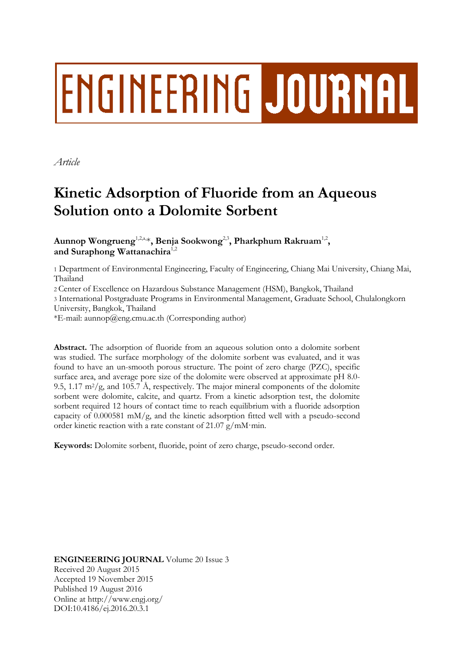# ENGINEERING JOURNAL

*Article*

# **Kinetic Adsorption of Fluoride from an Aqueous Solution onto a Dolomite Sorbent**

Aunnop Wongrueng<sup>1,2,a,</sup>\*, Benja Sookwong<sup>2,3</sup>, Pharkphum Rakruam<sup>1,2</sup>, **and Suraphong Wattanachira**1,2

1 Department of Environmental Engineering, Faculty of Engineering, Chiang Mai University, Chiang Mai, Thailand

2 Center of Excellence on Hazardous Substance Management (HSM), Bangkok, Thailand

3 International Postgraduate Programs in Environmental Management, Graduate School, Chulalongkorn University, Bangkok, Thailand

\*E-mail: aunnop@eng.cmu.ac.th (Corresponding author)

**Abstract.** The adsorption of fluoride from an aqueous solution onto a dolomite sorbent was studied. The surface morphology of the dolomite sorbent was evaluated, and it was found to have an un-smooth porous structure. The point of zero charge (PZC), specific surface area, and average pore size of the dolomite were observed at approximate pH 8.0- 9.5, 1.17 m<sup>2</sup>/g, and 105.7 Å, respectively. The major mineral components of the dolomite sorbent were dolomite, calcite, and quartz. From a kinetic adsorption test, the dolomite sorbent required 12 hours of contact time to reach equilibrium with a fluoride adsorption capacity of  $0.000581$  mM/g, and the kinetic adsorption fitted well with a pseudo-second order kinetic reaction with a rate constant of 21.07 g/mM·min.

**Keywords:** Dolomite sorbent, fluoride, point of zero charge, pseudo-second order.

**ENGINEERING JOURNAL** Volume 20 Issue 3 Received 20 August 2015 Accepted 19 November 2015 Published 19 August 2016 Online at http://www.engj.org/ DOI:10.4186/ej.2016.20.3.1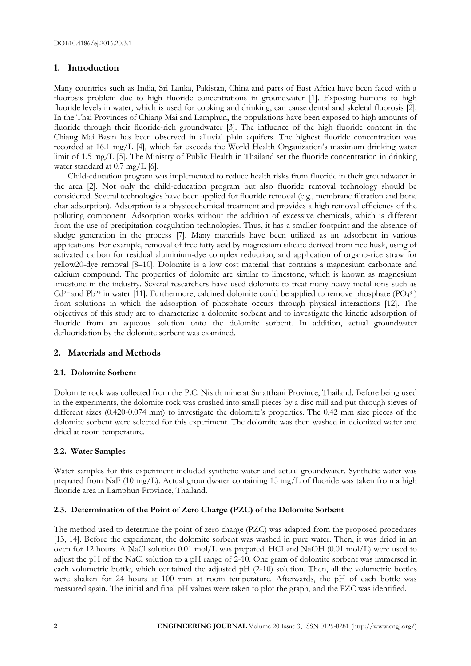# **1. Introduction**

Many countries such as India, Sri Lanka, Pakistan, China and parts of East Africa have been faced with a fluorosis problem due to high fluoride concentrations in groundwater [1]. Exposing humans to high fluoride levels in water, which is used for cooking and drinking, can cause dental and skeletal fluorosis [2]. In the Thai Provinces of Chiang Mai and Lamphun, the populations have been exposed to high amounts of fluoride through their fluoride-rich groundwater [3]. The influence of the high fluoride content in the Chiang Mai Basin has been observed in alluvial plain aquifers. The highest fluoride concentration was recorded at 16.1 mg/L [4], which far exceeds the World Health Organization's maximum drinking water limit of 1.5 mg/L [5]. The Ministry of Public Health in Thailand set the fluoride concentration in drinking water standard at 0.7 mg/L [6].

Child-education program was implemented to reduce health risks from fluoride in their groundwater in the area [2]. Not only the child-education program but also fluoride removal technology should be considered. Several technologies have been applied for fluoride removal (e.g., membrane filtration and bone char adsorption). Adsorption is a physicochemical treatment and provides a high removal efficiency of the polluting component. Adsorption works without the addition of excessive chemicals, which is different from the use of precipitation-coagulation technologies. Thus, it has a smaller footprint and the absence of sludge generation in the process [7]. Many materials have been utilized as an adsorbent in various applications. For example, removal of free fatty acid by magnesium silicate derived from rice husk, using of activated carbon for residual aluminium-dye complex reduction, and application of organo-rice straw for yellow20-dye removal [8–10]. Dolomite is a low cost material that contains a magnesium carbonate and calcium compound. The properties of dolomite are similar to limestone, which is known as magnesium limestone in the industry. Several researchers have used dolomite to treat many heavy metal ions such as  $Cd^{2+}$  and Pb<sup>2+</sup> in water [11]. Furthermore, calcined dolomite could be applied to remove phosphate (PO<sub>4</sub><sup>3-</sup>) from solutions in which the adsorption of phosphate occurs through physical interactions [12]. The objectives of this study are to characterize a dolomite sorbent and to investigate the kinetic adsorption of fluoride from an aqueous solution onto the dolomite sorbent. In addition, actual groundwater defluoridation by the dolomite sorbent was examined.

# **2. Materials and Methods**

# **2.1. Dolomite Sorbent**

Dolomite rock was collected from the P.C. Nisith mine at Suratthani Province, Thailand. Before being used in the experiments, the dolomite rock was crushed into small pieces by a disc mill and put through sieves of different sizes (0.420-0.074 mm) to investigate the dolomite's properties. The 0.42 mm size pieces of the dolomite sorbent were selected for this experiment. The dolomite was then washed in deionized water and dried at room temperature.

# **2.2. Water Samples**

Water samples for this experiment included synthetic water and actual groundwater. Synthetic water was prepared from NaF (10 mg/L). Actual groundwater containing 15 mg/L of fluoride was taken from a high fluoride area in Lamphun Province, Thailand.

# **2.3. Determination of the Point of Zero Charge (PZC) of the Dolomite Sorbent**

The method used to determine the point of zero charge (PZC) was adapted from the proposed procedures [13, 14]. Before the experiment, the dolomite sorbent was washed in pure water. Then, it was dried in an oven for 12 hours. A NaCl solution 0.01 mol/L was prepared. HCI and NaOH (0.01 mol/L) were used to adjust the pH of the NaCl solution to a pH range of 2-10. One gram of dolomite sorbent was immersed in each volumetric bottle, which contained the adjusted pH (2-10) solution. Then, all the volumetric bottles were shaken for 24 hours at 100 rpm at room temperature. Afterwards, the pH of each bottle was measured again. The initial and final pH values were taken to plot the graph, and the PZC was identified.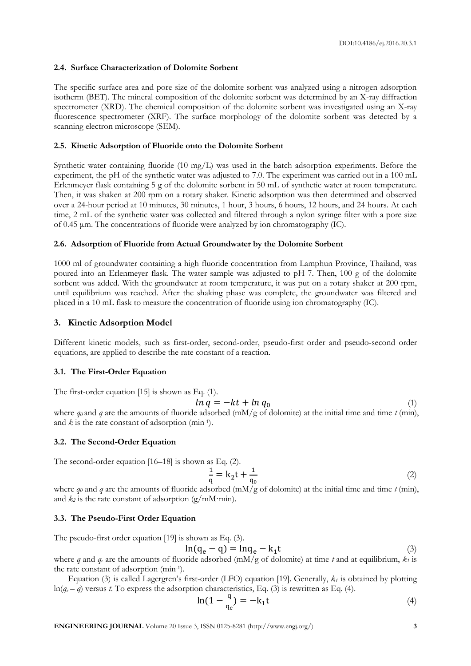#### **2.4. Surface Characterization of Dolomite Sorbent**

The specific surface area and pore size of the dolomite sorbent was analyzed using a nitrogen adsorption isotherm (BET). The mineral composition of the dolomite sorbent was determined by an X-ray diffraction spectrometer (XRD). The chemical composition of the dolomite sorbent was investigated using an X-ray fluorescence spectrometer (XRF). The surface morphology of the dolomite sorbent was detected by a scanning electron microscope (SEM).

#### **2.5. Kinetic Adsorption of Fluoride onto the Dolomite Sorbent**

Synthetic water containing fluoride (10 mg/L) was used in the batch adsorption experiments. Before the experiment, the pH of the synthetic water was adjusted to 7.0. The experiment was carried out in a 100 mL Erlenmeyer flask containing 5 g of the dolomite sorbent in 50 mL of synthetic water at room temperature. Then, it was shaken at 200 rpm on a rotary shaker. Kinetic adsorption was then determined and observed over a 24-hour period at 10 minutes, 30 minutes, 1 hour, 3 hours, 6 hours, 12 hours, and 24 hours. At each time, 2 mL of the synthetic water was collected and filtered through a nylon syringe filter with a pore size of 0.45 μm. The concentrations of fluoride were analyzed by ion chromatography (IC).

#### **2.6. Adsorption of Fluoride from Actual Groundwater by the Dolomite Sorbent**

1000 ml of groundwater containing a high fluoride concentration from Lamphun Province, Thailand, was poured into an Erlenmeyer flask. The water sample was adjusted to pH 7. Then, 100 g of the dolomite sorbent was added. With the groundwater at room temperature, it was put on a rotary shaker at 200 rpm, until equilibrium was reached. After the shaking phase was complete, the groundwater was filtered and placed in a 10 mL flask to measure the concentration of fluoride using ion chromatography (IC).

#### **3. Kinetic Adsorption Model**

Different kinetic models, such as first-order, second-order, pseudo-first order and pseudo-second order equations, are applied to describe the rate constant of a reaction.

#### **3.1. The First-Order Equation**

The first-order equation [15] is shown as Eq. (1).

$$
ln q = -kt + ln q_0 \tag{1}
$$

where  $q_0$  and q are the amounts of fluoride adsorbed (mM/g of dolomite) at the initial time and time  $t$  (min), and *k* is the rate constant of adsorption (min-1 ).

#### **3.2. The Second-Order Equation**

The second-order equation [16–18] is shown as Eq. (2).

$$
\frac{1}{q} = k_2 t + \frac{1}{q_0} \tag{2}
$$

where  $q_0$  and  $q$  are the amounts of fluoride adsorbed (mM/g of dolomite) at the initial time and time  $t$  (min), and  $k_2$  is the rate constant of adsorption (g/mM·min).

#### **3.3. The Pseudo-First Order Equation**

The pseudo-first order equation [19] is shown as Eq. (3).

$$
\ln(q_e - q) = \ln q_e - k_1 t \tag{3}
$$

where *q* and *q*<sub>*e*</sub> are the amounts of fluoride adsorbed (mM/g of dolomite) at time *t* and at equilibrium,  $k_f$  is the rate constant of adsorption (min-1 ).

Equation (3) is called Lagergren's first-order (LFO) equation [19]. Generally, *k<sup>1</sup>* is obtained by plotting  $ln(q_e - q)$  versus *t*. To express the adsorption characteristics, Eq. (3) is rewritten as Eq. (4).

$$
\ln(1 - \frac{q}{q_e}) = -k_1 t \tag{4}
$$

**ENGINEERING JOURNAL** Volume 20 Issue 3, ISSN 0125-8281 (http://www.engj.org/) **3**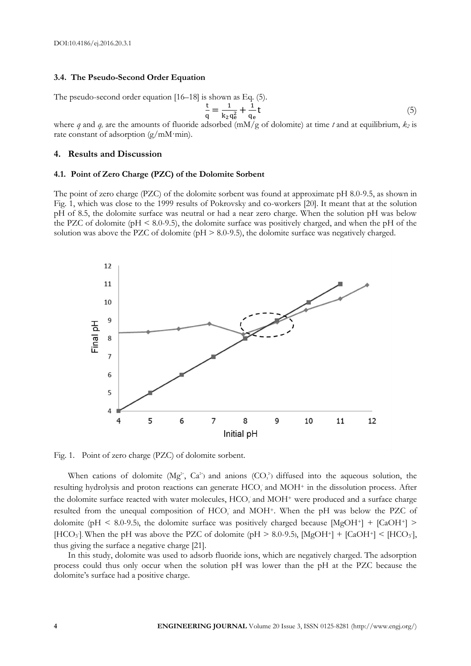#### **3.4. The Pseudo-Second Order Equation**

The pseudo-second order equation [16–18] is shown as Eq. (5). t  $\frac{t}{q} = \frac{1}{k_2}$  $k_2q_e^2$  $\mathbf{1}$  $\frac{1}{q_e}t$  (5)

where *q* and *q<sup>e</sup>* are the amounts of fluoride adsorbed (mM/g of dolomite) at time *t* and at equilibrium, *k<sup>2</sup>* is rate constant of adsorption  $(g/mM·min)$ .

#### **4. Results and Discussion**

#### **4.1. Point of Zero Charge (PZC) of the Dolomite Sorbent**

The point of zero charge (PZC) of the dolomite sorbent was found at approximate pH 8.0-9.5, as shown in Fig. 1, which was close to the 1999 results of Pokrovsky and co-workers [20]. It meant that at the solution pH of 8.5, the dolomite surface was neutral or had a near zero charge. When the solution pH was below the PZC of dolomite ( $pH \leq 8.0$ -9.5), the dolomite surface was positively charged, and when the pH of the solution was above the PZC of dolomite ( $pH > 8.0-9.5$ ), the dolomite surface was negatively charged.



Fig. 1. Point of zero charge (PZC) of dolomite sorbent.

When cations of dolomite ( $Mg^{2+}$ ,  $Ca^{2+}$ ) and anions (CO<sub>3</sub><sup>2</sup>) diffused into the aqueous solution, the resulting hydrolysis and proton reactions can generate HCO<sub>3</sub> and MOH<sup>+</sup> in the dissolution process. After the dolomite surface reacted with water molecules, HCO<sub>3</sub> and MOH<sup>+</sup> were produced and a surface charge resulted from the unequal composition of HCO<sub>3</sub> and MOH<sup>+</sup>. When the pH was below the PZC of dolomite (pH < 8.0-9.5), the dolomite surface was positively charged because  $[MgOH<sup>+</sup>] + [CaOH<sup>+</sup>]$  > [HCO<sub>3</sub>]. When the pH was above the PZC of dolomite (pH > 8.0-9.5), [MgOH<sup>+</sup>] + [CaOH<sup>+</sup>] < [HCO<sub>3</sub>], thus giving the surface a negative charge [21].

In this study, dolomite was used to adsorb fluoride ions, which are negatively charged. The adsorption process could thus only occur when the solution pH was lower than the pH at the PZC because the dolomite's surface had a positive charge.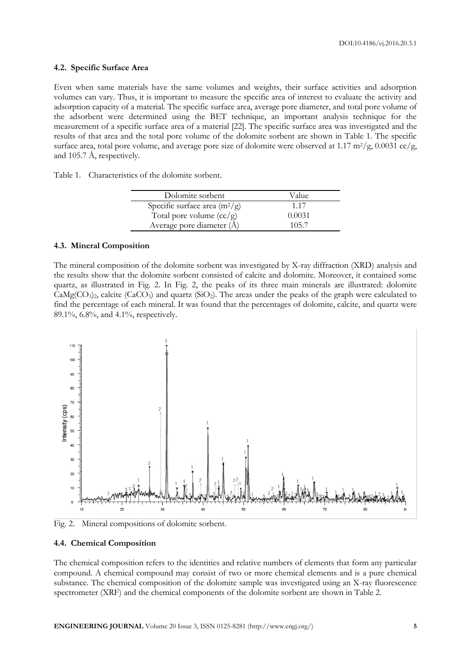#### **4.2. Specific Surface Area**

Even when same materials have the same volumes and weights, their surface activities and adsorption volumes can vary. Thus, it is important to measure the specific area of interest to evaluate the activity and adsorption capacity of a material. The specific surface area, average pore diameter, and total pore volume of the adsorbent were determined using the BET technique, an important analysis technique for the measurement of a specific surface area of a material [22]. The specific surface area was investigated and the results of that area and the total pore volume of the dolomite sorbent are shown in Table 1. The specific surface area, total pore volume, and average pore size of dolomite were observed at 1.17  $m^2/g$ , 0.0031 cc/g, and 105.7 Å, respectively.

Table 1. Characteristics of the dolomite sorbent.

| Dolomite sorbent                | Value  |
|---------------------------------|--------|
| Specific surface area $(m^2/g)$ | 1.17   |
| Total pore volume $(cc/g)$      | 0.0031 |
| Average pore diameter (Å)       | 105.7  |

#### **4.3. Mineral Composition**

The mineral composition of the dolomite sorbent was investigated by X-ray diffraction (XRD) analysis and the results show that the dolomite sorbent consisted of calcite and dolomite. Moreover, it contained some quartz, as illustrated in Fig. 2. In Fig. 2, the peaks of its three main minerals are illustrated: dolomite  $CaMg(CO<sub>3</sub>)<sub>2</sub>$ , calcite (CaCO<sub>3</sub>) and quartz (SiO<sub>2</sub>). The areas under the peaks of the graph were calculated to find the percentage of each mineral. It was found that the percentages of dolomite, calcite, and quartz were 89.1%, 6.8%, and 4.1%, respectively.



Fig. 2. Mineral compositions of dolomite sorbent.

#### **4.4. Chemical Composition**

The chemical composition refers to the identities and relative numbers of elements that form any particular compound. A chemical compound may consist of two or more chemical elements and is a pure chemical substance. The chemical composition of the dolomite sample was investigated using an X-ray fluorescence spectrometer (XRF) and the chemical components of the dolomite sorbent are shown in Table 2.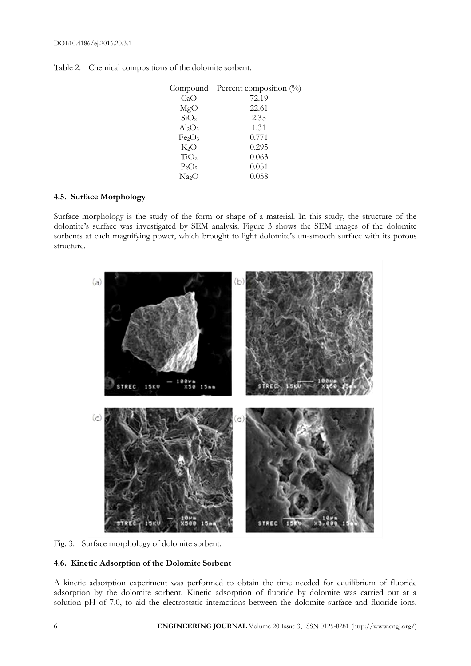| Compound Percent composition $(\%)$ |
|-------------------------------------|
| 72.19                               |
| 22.61                               |
| 2.35                                |
| 1.31                                |
| 0.771                               |
| 0.295                               |
| 0.063                               |
| 0.051                               |
| 0.058                               |
|                                     |

Table 2. Chemical compositions of the dolomite sorbent.

# **4.5. Surface Morphology**

Surface morphology is the study of the form or shape of a material. In this study, the structure of the dolomite's surface was investigated by SEM analysis. Figure 3 shows the SEM images of the dolomite sorbents at each magnifying power, which brought to light dolomite's un-smooth surface with its porous structure.



Fig. 3. Surface morphology of dolomite sorbent.

#### **4.6. Kinetic Adsorption of the Dolomite Sorbent**

A kinetic adsorption experiment was performed to obtain the time needed for equilibrium of fluoride adsorption by the dolomite sorbent. Kinetic adsorption of fluoride by dolomite was carried out at a solution pH of 7.0, to aid the electrostatic interactions between the dolomite surface and fluoride ions.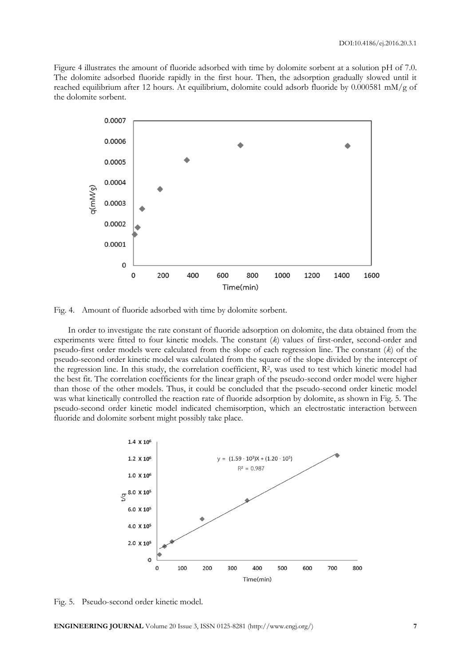Figure 4 illustrates the amount of fluoride adsorbed with time by dolomite sorbent at a solution pH of 7.0. The dolomite adsorbed fluoride rapidly in the first hour. Then, the adsorption gradually slowed until it reached equilibrium after 12 hours. At equilibrium, dolomite could adsorb fluoride by 0.000581 mM/g of the dolomite sorbent.



Fig. 4. Amount of fluoride adsorbed with time by dolomite sorbent.

In order to investigate the rate constant of fluoride adsorption on dolomite, the data obtained from the experiments were fitted to four kinetic models. The constant (*k*) values of first-order, second-order and pseudo-first order models were calculated from the slope of each regression line. The constant (*k*) of the pseudo-second order kinetic model was calculated from the square of the slope divided by the intercept of the regression line. In this study, the correlation coefficient, R<sup>2</sup>, was used to test which kinetic model had the best fit. The correlation coefficients for the linear graph of the pseudo-second order model were higher than those of the other models. Thus, it could be concluded that the pseudo-second order kinetic model was what kinetically controlled the reaction rate of fluoride adsorption by dolomite, as shown in Fig. 5. The pseudo-second order kinetic model indicated chemisorption, which an electrostatic interaction between fluoride and dolomite sorbent might possibly take place.



Fig. 5. Pseudo-second order kinetic model.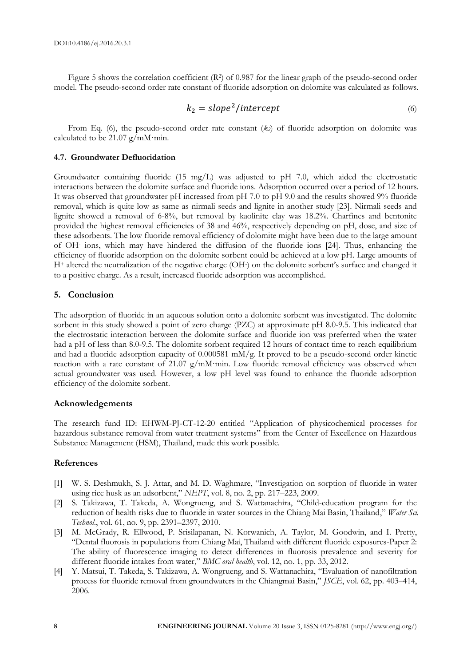Figure 5 shows the correlation coefficient (R<sup>2</sup>) of 0.987 for the linear graph of the pseudo-second order model. The pseudo-second order rate constant of fluoride adsorption on dolomite was calculated as follows.

$$
k_2 = slope^2/intercept \tag{6}
$$

From Eq. (6), the pseudo-second order rate constant (*k2*) of fluoride adsorption on dolomite was calculated to be 21.07  $g/mM$ ·min.

#### **4.7. Groundwater Defluoridation**

Groundwater containing fluoride (15 mg/L) was adjusted to pH 7.0, which aided the electrostatic interactions between the dolomite surface and fluoride ions. Adsorption occurred over a period of 12 hours. It was observed that groundwater pH increased from pH 7.0 to pH 9.0 and the results showed 9% fluoride removal, which is quite low as same as nirmali seeds and lignite in another study [23]. Nirmali seeds and lignite showed a removal of 6-8%, but removal by kaolinite clay was 18.2%. Charfines and bentonite provided the highest removal efficiencies of 38 and 46%, respectively depending on pH, dose, and size of these adsorbents. The low fluoride removal efficiency of dolomite might have been due to the large amount of OH-ions, which may have hindered the diffusion of the fluoride ions [24]. Thus, enhancing the efficiency of fluoride adsorption on the dolomite sorbent could be achieved at a low pH. Large amounts of H<sup>+</sup> altered the neutralization of the negative charge (OH- ) on the dolomite sorbent's surface and changed it to a positive charge. As a result, increased fluoride adsorption was accomplished.

#### **5. Conclusion**

The adsorption of fluoride in an aqueous solution onto a dolomite sorbent was investigated. The dolomite sorbent in this study showed a point of zero charge (PZC) at approximate pH 8.0-9.5. This indicated that the electrostatic interaction between the dolomite surface and fluoride ion was preferred when the water had a pH of less than 8.0-9.5. The dolomite sorbent required 12 hours of contact time to reach equilibrium and had a fluoride adsorption capacity of 0.000581 mM/g. It proved to be a pseudo-second order kinetic reaction with a rate constant of 21.07 g/mM·min. Low fluoride removal efficiency was observed when actual groundwater was used. However, a low pH level was found to enhance the fluoride adsorption efficiency of the dolomite sorbent.

#### **Acknowledgements**

The research fund ID: EHWM-PJ-CT-12-20 entitled "Application of physicochemical processes for hazardous substance removal from water treatment systems" from the Center of Excellence on Hazardous Substance Management (HSM), Thailand, made this work possible.

#### **References**

- [1] W. S. Deshmukh, S. J. Attar, and M. D. Waghmare, "Investigation on sorption of fluoride in water using rice husk as an adsorbent," *NEPT*, vol. 8, no. 2, pp. 217–223, 2009.
- [2] S. Takizawa, T. Takeda, A. Wongrueng, and S. Wattanachira, "Child-education program for the reduction of health risks due to fluoride in water sources in the Chiang Mai Basin, Thailand," *Water Sci. Technol*., vol. 61, no. 9, pp. 2391–2397, 2010.
- [3] M. McGrady, R. Ellwood, P. Srisilapanan, N. Korwanich, A. Taylor, M. Goodwin, and I. Pretty, "Dental fluorosis in populations from Chiang Mai, Thailand with different fluoride exposures-Paper 2: The ability of fluorescence imaging to detect differences in fluorosis prevalence and severity for different fluoride intakes from water," *BMC oral health*, vol. 12, no. 1, pp. 33, 2012.
- [4] Y. Matsui, T. Takeda, S. Takizawa, A. Wongrueng, and S. Wattanachira, "Evaluation of nanofiltration process for fluoride removal from groundwaters in the Chiangmai Basin," *JSCE*, vol. 62, pp. 403–414, 2006.